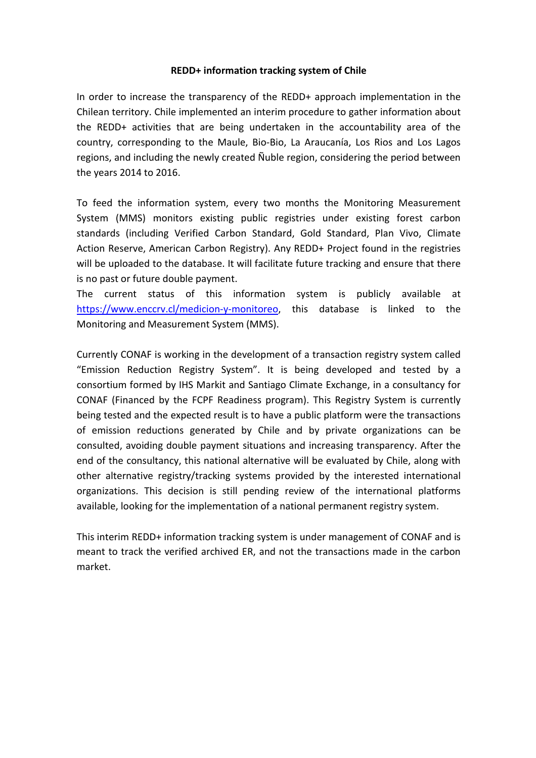## **REDD+ information tracking system of Chile**

In order to increase the transparency of the REDD+ approach implementation in the Chilean territory. Chile implemented an interim procedure to gather information about the REDD+ activities that are being undertaken in the accountability area of the country, corresponding to the Maule, Bio-Bio, La Araucanía, Los Rios and Los Lagos regions, and including the newly created Ñuble region, considering the period between the years 2014 to 2016.

To feed the information system, every two months the Monitoring Measurement System (MMS) monitors existing public registries under existing forest carbon standards (including Verified Carbon Standard, Gold Standard, Plan Vivo, Climate Action Reserve, American Carbon Registry). Any REDD+ Project found in the registries will be uploaded to the database. It will facilitate future tracking and ensure that there is no past or future double payment.

The current status of this information system is publicly available at [https://www.enccrv.cl/medicion-y-monitoreo,](https://www.enccrv.cl/medicion-y-monitoreo) this database is linked to the Monitoring and Measurement System (MMS).

Currently CONAF is working in the development of a transaction registry system called "Emission Reduction Registry System". It is being developed and tested by a consortium formed by IHS Markit and Santiago Climate Exchange, in a consultancy for CONAF (Financed by the FCPF Readiness program). This Registry System is currently being tested and the expected result is to have a public platform were the transactions of emission reductions generated by Chile and by private organizations can be consulted, avoiding double payment situations and increasing transparency. After the end of the consultancy, this national alternative will be evaluated by Chile, along with other alternative registry/tracking systems provided by the interested international organizations. This decision is still pending review of the international platforms available, looking for the implementation of a national permanent registry system.

This interim REDD+ information tracking system is under management of CONAF and is meant to track the verified archived ER, and not the transactions made in the carbon market.